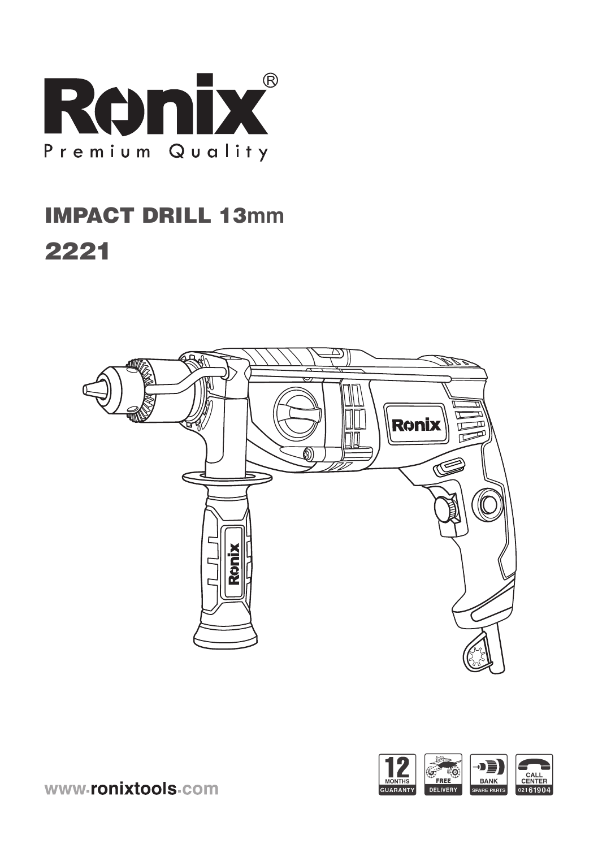

# **IMPACT DRILL 13mm** 2221





www-ronixtools-com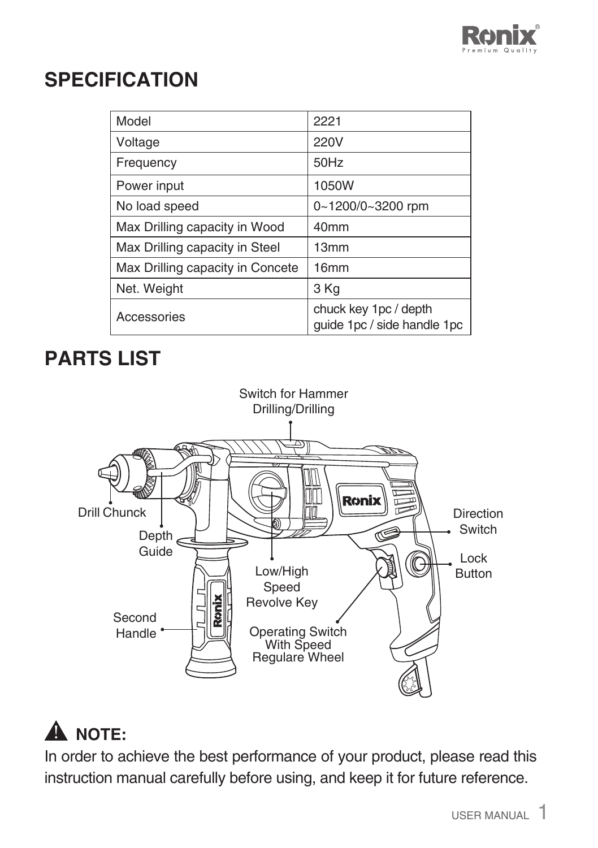

### **SPECIFICATION**

| Model                            | 2221                                                 |
|----------------------------------|------------------------------------------------------|
| Voltage                          | 220V                                                 |
| Frequency                        | 50Hz                                                 |
| Power input                      | 1050W                                                |
| No load speed                    | 0~1200/0~3200 rpm                                    |
| Max Drilling capacity in Wood    | 40 <sub>mm</sub>                                     |
| Max Drilling capacity in Steel   | 13mm                                                 |
| Max Drilling capacity in Concete | 16 <sub>mm</sub>                                     |
| Net. Weight                      | 3 Kg                                                 |
| Accessories                      | chuck key 1pc / depth<br>quide 1pc / side handle 1pc |

## **PARTS LIST**



## **A** NOTE:

In order to achieve the best performance of your product, please read this instruction manual carefully before using, and keep it for future reference.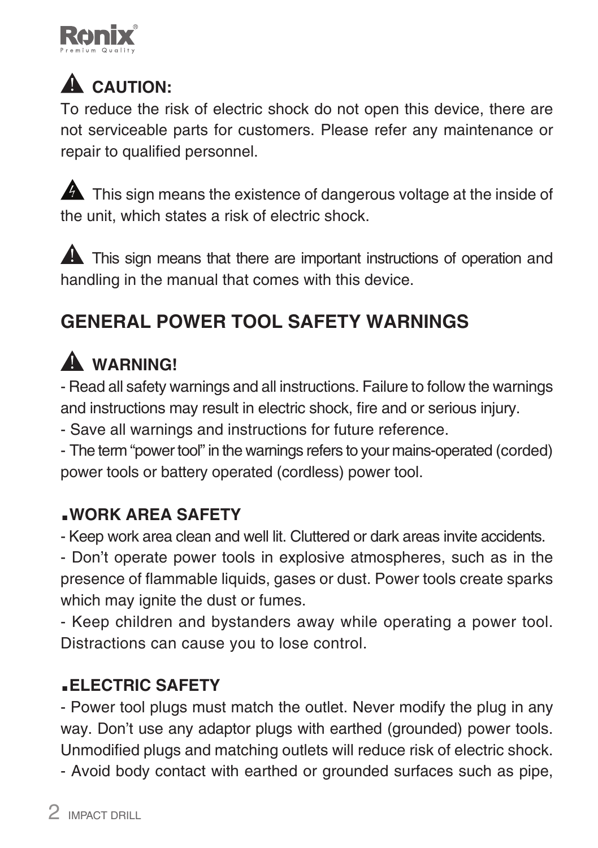

# **A** CAUTION:

To reduce the risk of electric shock do not open this device, there are not serviceable parts for customers. Please refer any maintenance or repair to qualified personnel.

**A** This sign means the existence of dangerous voltage at the inside of the unit, which states a risk of electric shock.

**A** This sign means that there are important instructions of operation and handling in the manual that comes with this device.

### **GENERAL POWER TOOL SAFETY WARNINGS**

## **WARNING!**

- Read all safety warnings and all instructions. Failure to follow the warnings and instructions may result in electric shock, fire and or serious injury.

- Save all warnings and instructions for future reference.

- The term "power tool" in the warnings refers to your mains-operated (corded) power tools or battery operated (cordless) power tool.

### **.WORK AREA SAFETY**

- Keep work area clean and well lit. Cluttered or dark areas invite accidents.

- Don't operate power tools in explosive atmospheres, such as in the presence of flammable liquids, gases or dust. Power tools create sparks which may ignite the dust or fumes.

- Keep children and bystanders away while operating a power tool. Distractions can cause you to lose control.

### **.ELECTRIC SAFETY**

- Power tool plugs must match the outlet. Never modify the plug in any way. Don't use any adaptor plugs with earthed (grounded) power tools. Unmodified plugs and matching outlets will reduce risk of electric shock.

- Avoid body contact with earthed or grounded surfaces such as pipe,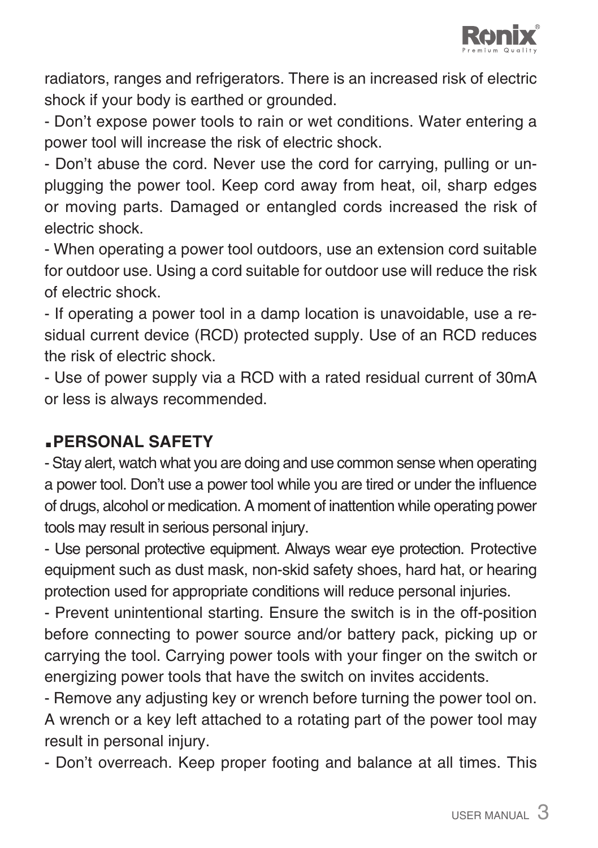

radiators, ranges and refrigerators. There is an increased risk of electric shock if your body is earthed or grounded.

- Don't expose power tools to rain or wet conditions. Water entering a power tool will increase the risk of electric shock.

- Don't abuse the cord. Never use the cord for carrying, pulling or unplugging the power tool. Keep cord away from heat, oil, sharp edges or moving parts. Damaged or entangled cords increased the risk of electric shock.

- When operating a power tool outdoors, use an extension cord suitable for outdoor use. Using a cord suitable for outdoor use will reduce the risk of electric shock.

- If operating a power tool in a damp location is unavoidable, use a residual current device (RCD) protected supply. Use of an RCD reduces the risk of electric shock.

- Use of power supply via a RCD with a rated residual current of 30mA or less is always recommended.

#### **.PERSONAL SAFETY**

- Stay alert, watch what you are doing and use common sense when operating a power tool. Don't use a power tool while you are tired or under the influence of drugs, alcohol or medication. A moment of inattention while operating power tools may result in serious personal injury.

- Use personal protective equipment. Always wear eye protection. Protective equipment such as dust mask, non-skid safety shoes, hard hat, or hearing protection used for appropriate conditions will reduce personal injuries.

- Prevent unintentional starting. Ensure the switch is in the off-position before connecting to power source and/or battery pack, picking up or carrying the tool. Carrying power tools with your finger on the switch or energizing power tools that have the switch on invites accidents.

- Remove any adjusting key or wrench before turning the power tool on. A wrench or a key left attached to a rotating part of the power tool may result in personal injury.

- Don't overreach. Keep proper footing and balance at all times. This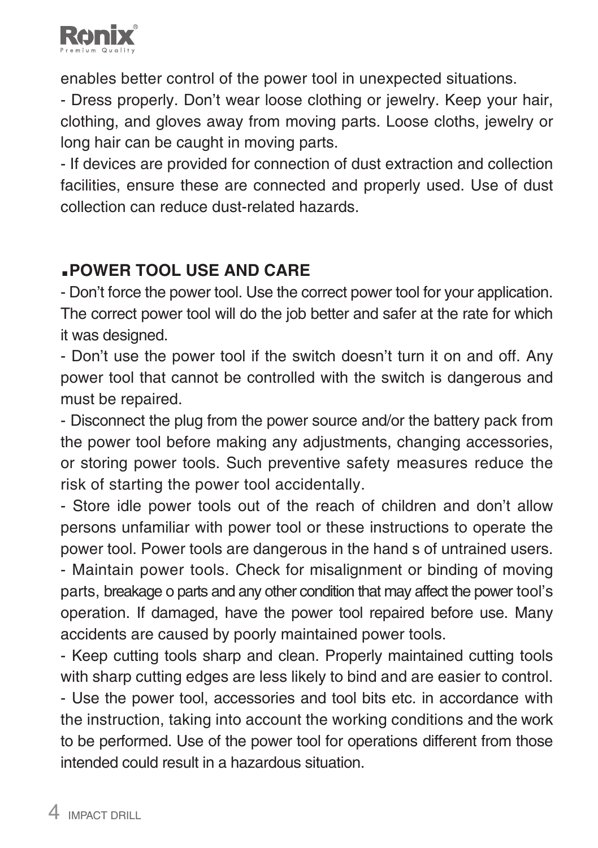

enables better control of the power tool in unexpected situations.

- Dress properly. Don't wear loose clothing or jewelry. Keep your hair, clothing, and gloves away from moving parts. Loose cloths, jewelry or long hair can be caught in moving parts.

- If devices are provided for connection of dust extraction and collection facilities, ensure these are connected and properly used. Use of dust collection can reduce dust-related hazards.

### **.POWER TOOL USE AND CARE**

- Don't force the power tool. Use the correct power tool for your application. The correct power tool will do the job better and safer at the rate for which it was designed.

- Don't use the power tool if the switch doesn't turn it on and off. Any power tool that cannot be controlled with the switch is dangerous and must be repaired.

- Disconnect the plug from the power source and/or the battery pack from the power tool before making any adjustments, changing accessories, or storing power tools. Such preventive safety measures reduce the risk of starting the power tool accidentally.

- Store idle power tools out of the reach of children and don't allow persons unfamiliar with power tool or these instructions to operate the power tool. Power tools are dangerous in the hand s of untrained users.

- Maintain power tools. Check for misalignment or binding of moving parts, breakage o parts and any other condition that may affect the power tool's operation. If damaged, have the power tool repaired before use. Many accidents are caused by poorly maintained power tools.

- Keep cutting tools sharp and clean. Properly maintained cutting tools with sharp cutting edges are less likely to bind and are easier to control. - Use the power tool, accessories and tool bits etc. in accordance with the instruction, taking into account the working conditions and the work to be performed. Use of the power tool for operations different from those intended could result in a hazardous situation.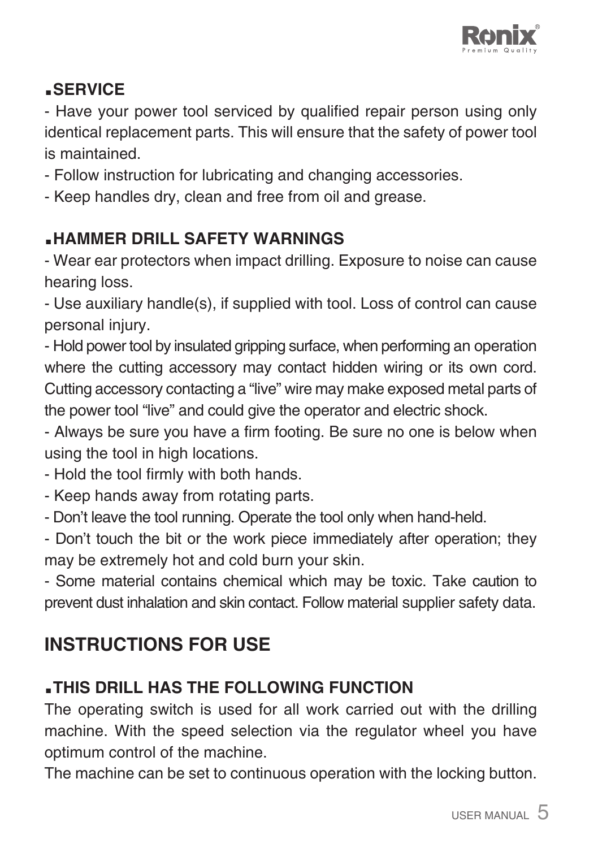

### **.SERVICE**

- Have your power tool serviced by qualified repair person using only identical replacement parts. This will ensure that the safety of power tool is maintained.

- Follow instruction for lubricating and changing accessories.

- Keep handles dry, clean and free from oil and grease.

### **.HAMMER DRILL SAFETY WARNINGS**

- Wear ear protectors when impact drilling. Exposure to noise can cause hearing loss.

- Use auxiliary handle(s), if supplied with tool. Loss of control can cause personal injury.

- Hold power tool by insulated gripping surface, when performing an operation where the cutting accessory may contact hidden wiring or its own cord. Cutting accessory contacting a "live" wire may make exposed metal parts of the power tool "live" and could give the operator and electric shock.

- Always be sure you have a firm footing. Be sure no one is below when using the tool in high locations.

- Hold the tool firmly with both hands.

- Keep hands away from rotating parts.

- Don't leave the tool running. Operate the tool only when hand-held.

- Don't touch the bit or the work piece immediately after operation; they may be extremely hot and cold burn your skin.

- Some material contains chemical which may be toxic. Take caution to prevent dust inhalation and skin contact. Follow material supplier safety data.

### **INSTRUCTIONS FOR USE**

### **.THIS DRILL HAS THE FOLLOWING FUNCTION**

The operating switch is used for all work carried out with the drilling machine. With the speed selection via the regulator wheel you have optimum control of the machine.

The machine can be set to continuous operation with the locking button.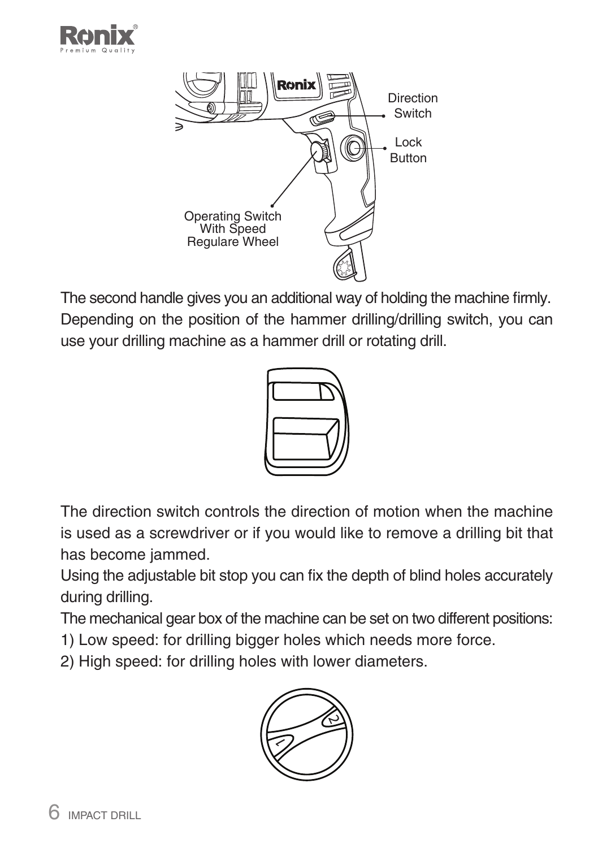



The second handle gives you an additional way of holding the machine firmly. Depending on the position of the hammer drilling/drilling switch, you can use your drilling machine as a hammer drill or rotating drill.



The direction switch controls the direction of motion when the machine is used as a screwdriver or if you would like to remove a drilling bit that has become jammed.

Using the adjustable bit stop you can fix the depth of blind holes accurately during drilling.

The mechanical gear box of the machine can be set on two different positions:

1) Low speed: for drilling bigger holes which needs more force.

2) High speed: for drilling holes with lower diameters.

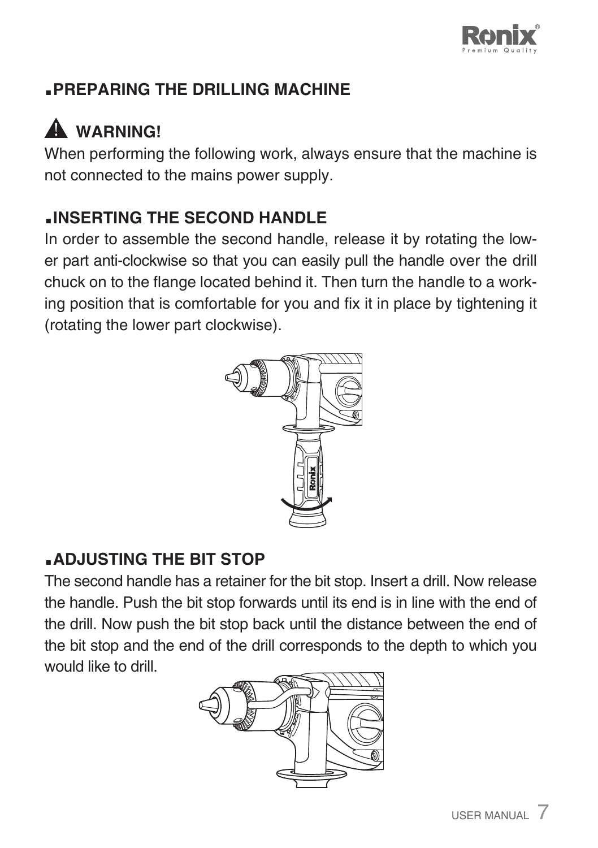

### **.PREPARING THE DRILLING MACHINE**

## **WARNING!**

When performing the following work, always ensure that the machine is not connected to the mains power supply.

### **.INSERTING THE SECOND HANDLE**

In order to assemble the second handle, release it by rotating the lower part anti-clockwise so that you can easily pull the handle over the drill chuck on to the flange located behind it. Then turn the handle to a working position that is comfortable for you and fix it in place by tightening it (rotating the lower part clockwise).



### **.ADJUSTING THE BIT STOP**

The second handle has a retainer for the bit stop. Insert a drill. Now release the handle. Push the bit stop forwards until its end is in line with the end of the drill. Now push the bit stop back until the distance between the end of the bit stop and the end of the drill corresponds to the depth to which you would like to drill

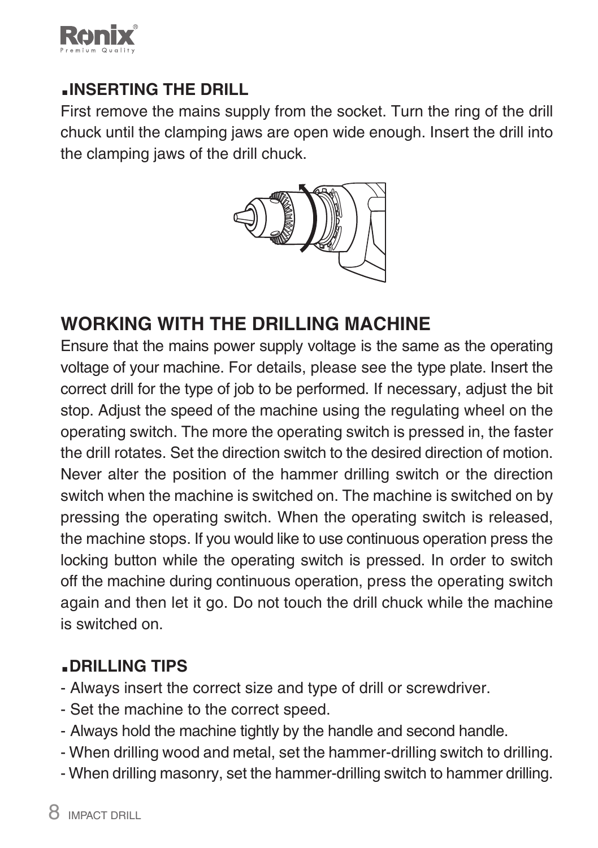

#### **.INSERTING THE DRILL**

First remove the mains supply from the socket. Turn the ring of the drill chuck until the clamping jaws are open wide enough. Insert the drill into the clamping jaws of the drill chuck.



### **WORKING WITH THE DRILLING MACHINE**

Ensure that the mains power supply voltage is the same as the operating voltage of your machine. For details, please see the type plate. Insert the correct drill for the type of job to be performed. If necessary, adjust the bit stop. Adjust the speed of the machine using the regulating wheel on the operating switch. The more the operating switch is pressed in, the faster the drill rotates. Set the direction switch to the desired direction of motion. Never alter the position of the hammer drilling switch or the direction switch when the machine is switched on. The machine is switched on by pressing the operating switch. When the operating switch is released, the machine stops. If you would like to use continuous operation press the locking button while the operating switch is pressed. In order to switch off the machine during continuous operation, press the operating switch again and then let it go. Do not touch the drill chuck while the machine is switched on.

### **.DRILLING TIPS**

- Always insert the correct size and type of drill or screwdriver.
- Set the machine to the correct speed.
- Always hold the machine tightly by the handle and second handle.
- When drilling wood and metal, set the hammer-drilling switch to drilling.
- When drilling masonry, set the hammer-drilling switch to hammer drilling.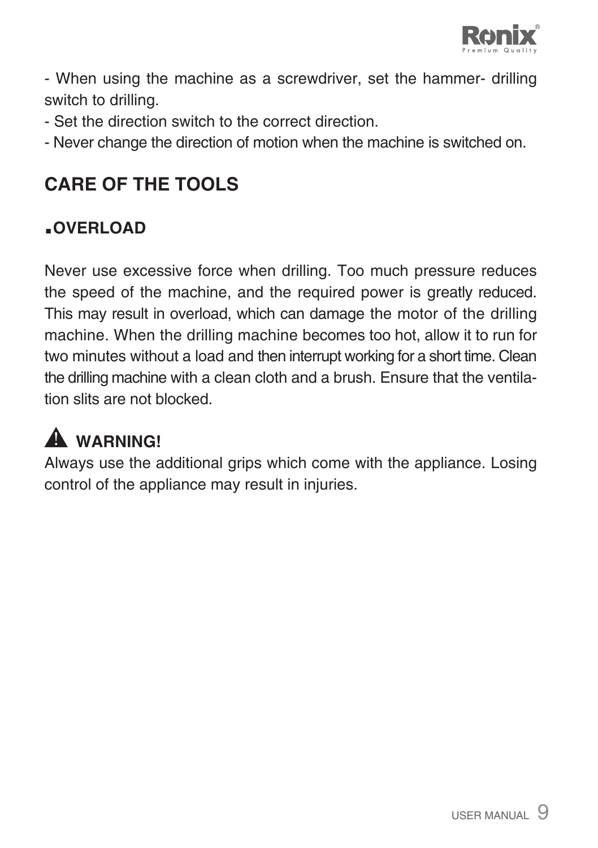

- When using the machine as a screwdriver, set the hammer- drilling switch to drilling.

- Set the direction switch to the correct direction.
- Never change the direction of motion when the machine is switched on.

### **CARE OF THE TOOLS**

### **.OVERLOAD**

Never use excessive force when drilling. Too much pressure reduces the speed of the machine, and the required power is greatly reduced. This may result in overload, which can damage the motor of the drilling machine. When the drilling machine becomes too hot, allow it to run for two minutes without a load and then interrupt working for a short time. Clean the drilling machine with a clean cloth and a brush. Ensure that the ventilation slits are not blocked.

# **AL WARNING!**

Always use the additional grips which come with the appliance. Losing control of the appliance may result in injuries.